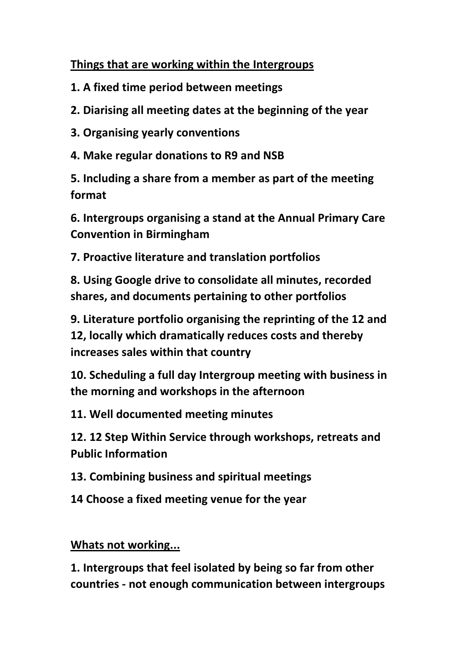## **Things that are working within the Intergroups**

- **1. A fixed time period between meetings**
- **2. Diarising all meeting dates at the beginning of the year**
- **3. Organising yearly conventions**
- **4. Make regular donations to R9 and NSB**

**5. Including a share from a member as part of the meeting format**

**6. Intergroups organising a stand at the Annual Primary Care Convention in Birmingham**

**7. Proactive literature and translation portfolios**

**8. Using Google drive to consolidate all minutes, recorded shares, and documents pertaining to other portfolios**

**9. Literature portfolio organising the reprinting of the 12 and 12, locally which dramatically reduces costs and thereby increases sales within that country**

**10. Scheduling a full day Intergroup meeting with business in the morning and workshops in the afternoon**

**11. Well documented meeting minutes**

**12. 12 Step Within Service through workshops, retreats and Public Information**

**13. Combining business and spiritual meetings** 

**14 Choose a fixed meeting venue for the year**

**Whats not working...**

**1. Intergroups that feel isolated by being so far from other countries - not enough communication between intergroups**